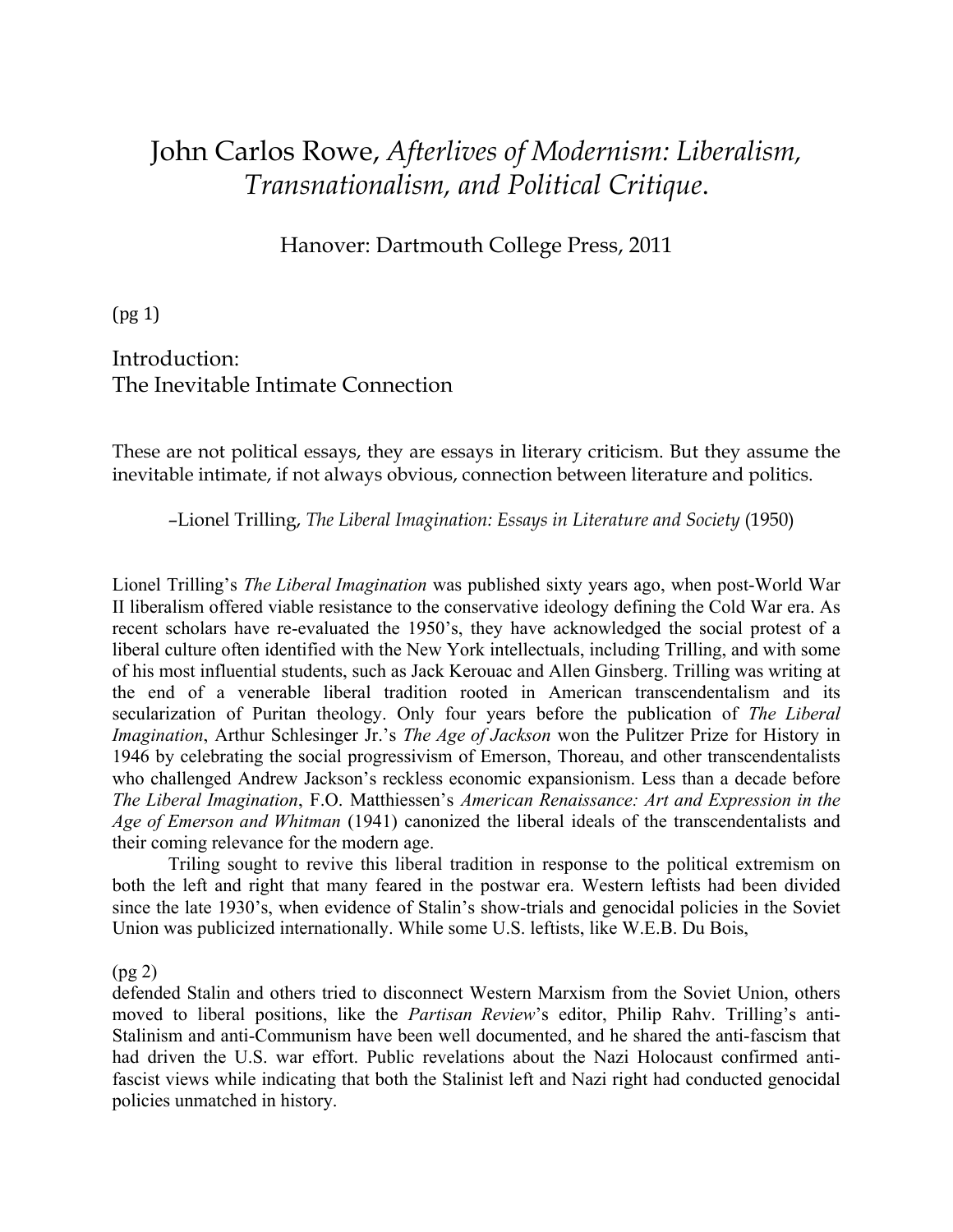# John Carlos Rowe, *Afterlives of Modernism: Liberalism, Transnationalism, and Political Critique*.

Hanover: Dartmouth College Press, 2011

 $(pg 1)$ 

Introduction: The Inevitable Intimate Connection

These are not political essays, they are essays in literary criticism. But they assume the inevitable intimate, if not always obvious, connection between literature and politics.

–Lionel Trilling, *The Liberal Imagination: Essays in Literature and Society* (1950)

Lionel Trilling's *The Liberal Imagination* was published sixty years ago, when post-World War II liberalism offered viable resistance to the conservative ideology defining the Cold War era. As recent scholars have re-evaluated the 1950's, they have acknowledged the social protest of a liberal culture often identified with the New York intellectuals, including Trilling, and with some of his most influential students, such as Jack Kerouac and Allen Ginsberg. Trilling was writing at the end of a venerable liberal tradition rooted in American transcendentalism and its secularization of Puritan theology. Only four years before the publication of *The Liberal Imagination*, Arthur Schlesinger Jr.'s *The Age of Jackson* won the Pulitzer Prize for History in 1946 by celebrating the social progressivism of Emerson, Thoreau, and other transcendentalists who challenged Andrew Jackson's reckless economic expansionism. Less than a decade before *The Liberal Imagination*, F.O. Matthiessen's *American Renaissance: Art and Expression in the Age of Emerson and Whitman* (1941) canonized the liberal ideals of the transcendentalists and their coming relevance for the modern age.

Triling sought to revive this liberal tradition in response to the political extremism on both the left and right that many feared in the postwar era. Western leftists had been divided since the late 1930's, when evidence of Stalin's show-trials and genocidal policies in the Soviet Union was publicized internationally. While some U.S. leftists, like W.E.B. Du Bois,

(pg 2)

defended Stalin and others tried to disconnect Western Marxism from the Soviet Union, others moved to liberal positions, like the *Partisan Review*'s editor, Philip Rahv. Trilling's anti-Stalinism and anti-Communism have been well documented, and he shared the anti-fascism that had driven the U.S. war effort. Public revelations about the Nazi Holocaust confirmed antifascist views while indicating that both the Stalinist left and Nazi right had conducted genocidal policies unmatched in history.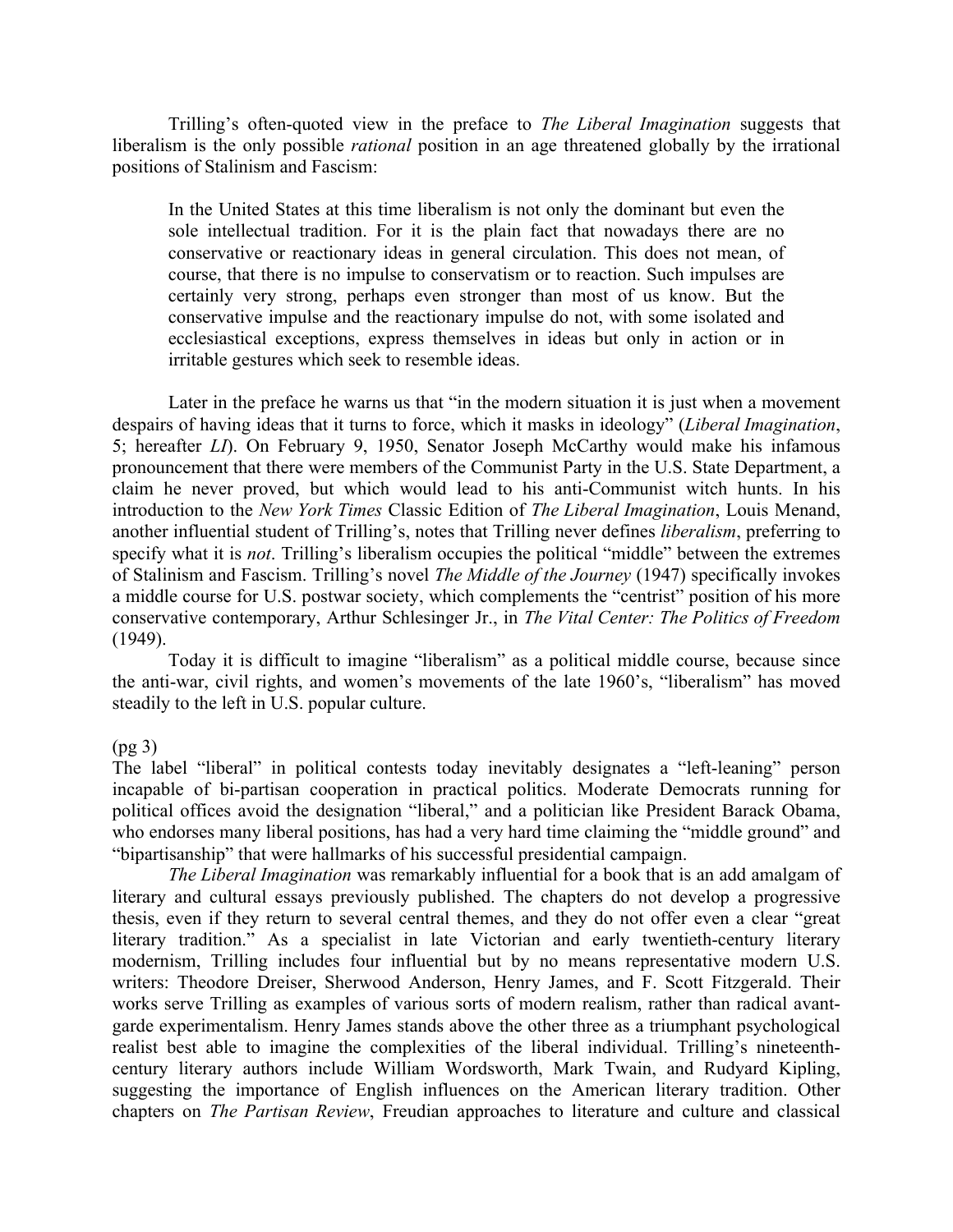Trilling's often-quoted view in the preface to *The Liberal Imagination* suggests that liberalism is the only possible *rational* position in an age threatened globally by the irrational positions of Stalinism and Fascism:

In the United States at this time liberalism is not only the dominant but even the sole intellectual tradition. For it is the plain fact that nowadays there are no conservative or reactionary ideas in general circulation. This does not mean, of course, that there is no impulse to conservatism or to reaction. Such impulses are certainly very strong, perhaps even stronger than most of us know. But the conservative impulse and the reactionary impulse do not, with some isolated and ecclesiastical exceptions, express themselves in ideas but only in action or in irritable gestures which seek to resemble ideas.

Later in the preface he warns us that "in the modern situation it is just when a movement despairs of having ideas that it turns to force, which it masks in ideology" (*Liberal Imagination*, 5; hereafter *LI*). On February 9, 1950, Senator Joseph McCarthy would make his infamous pronouncement that there were members of the Communist Party in the U.S. State Department, a claim he never proved, but which would lead to his anti-Communist witch hunts. In his introduction to the *New York Times* Classic Edition of *The Liberal Imagination*, Louis Menand, another influential student of Trilling's, notes that Trilling never defines *liberalism*, preferring to specify what it is *not*. Trilling's liberalism occupies the political "middle" between the extremes of Stalinism and Fascism. Trilling's novel *The Middle of the Journey* (1947) specifically invokes a middle course for U.S. postwar society, which complements the "centrist" position of his more conservative contemporary, Arthur Schlesinger Jr., in *The Vital Center: The Politics of Freedom* (1949).

Today it is difficult to imagine "liberalism" as a political middle course, because since the anti-war, civil rights, and women's movements of the late 1960's, "liberalism" has moved steadily to the left in U.S. popular culture.

# (pg 3)

The label "liberal" in political contests today inevitably designates a "left-leaning" person incapable of bi-partisan cooperation in practical politics. Moderate Democrats running for political offices avoid the designation "liberal," and a politician like President Barack Obama, who endorses many liberal positions, has had a very hard time claiming the "middle ground" and "bipartisanship" that were hallmarks of his successful presidential campaign.

*The Liberal Imagination* was remarkably influential for a book that is an add amalgam of literary and cultural essays previously published. The chapters do not develop a progressive thesis, even if they return to several central themes, and they do not offer even a clear "great literary tradition." As a specialist in late Victorian and early twentieth-century literary modernism, Trilling includes four influential but by no means representative modern U.S. writers: Theodore Dreiser, Sherwood Anderson, Henry James, and F. Scott Fitzgerald. Their works serve Trilling as examples of various sorts of modern realism, rather than radical avantgarde experimentalism. Henry James stands above the other three as a triumphant psychological realist best able to imagine the complexities of the liberal individual. Trilling's nineteenthcentury literary authors include William Wordsworth, Mark Twain, and Rudyard Kipling, suggesting the importance of English influences on the American literary tradition. Other chapters on *The Partisan Review*, Freudian approaches to literature and culture and classical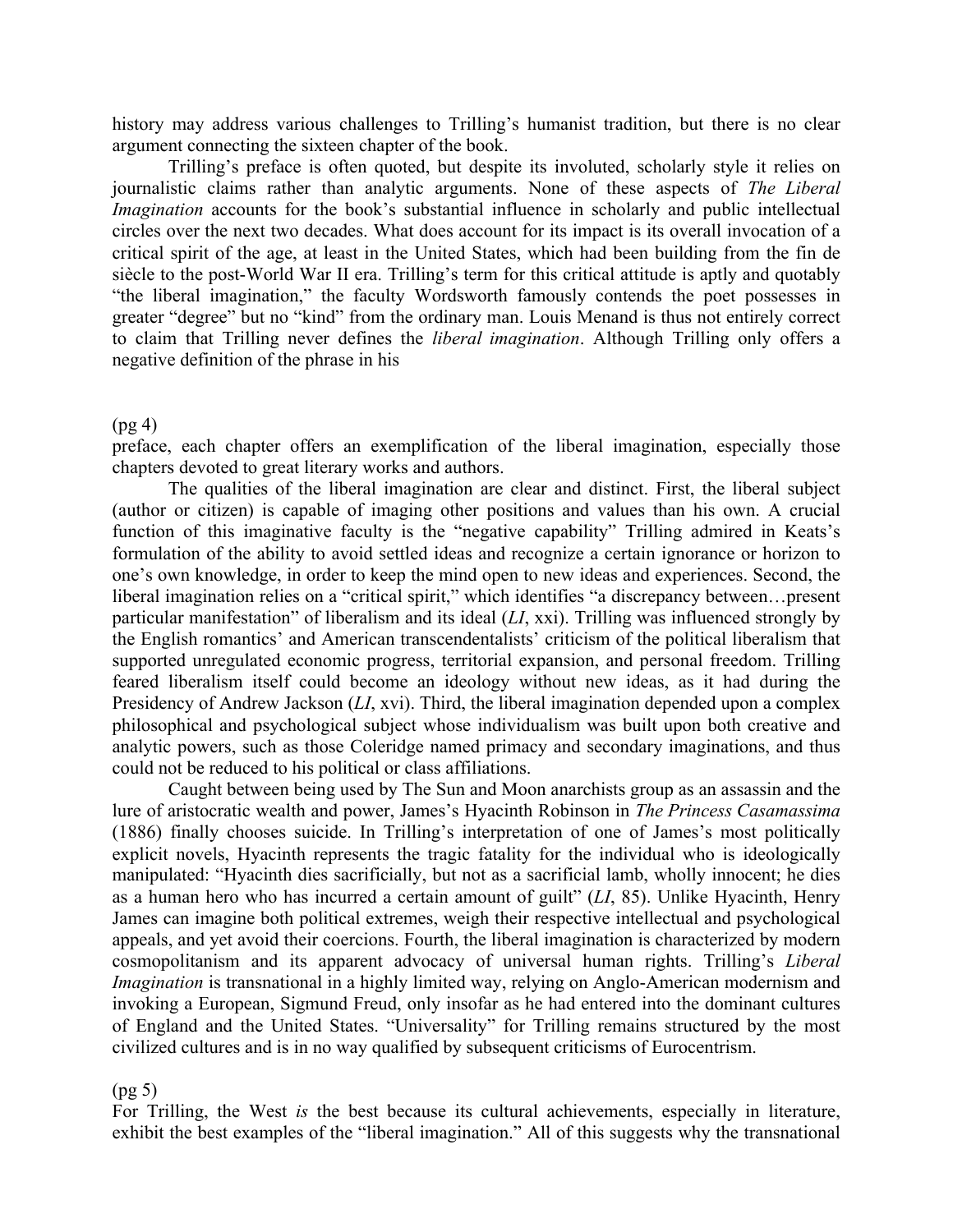history may address various challenges to Trilling's humanist tradition, but there is no clear argument connecting the sixteen chapter of the book.

Trilling's preface is often quoted, but despite its involuted, scholarly style it relies on journalistic claims rather than analytic arguments. None of these aspects of *The Liberal Imagination* accounts for the book's substantial influence in scholarly and public intellectual circles over the next two decades. What does account for its impact is its overall invocation of a critical spirit of the age, at least in the United States, which had been building from the fin de siècle to the post-World War II era. Trilling's term for this critical attitude is aptly and quotably "the liberal imagination," the faculty Wordsworth famously contends the poet possesses in greater "degree" but no "kind" from the ordinary man. Louis Menand is thus not entirely correct to claim that Trilling never defines the *liberal imagination*. Although Trilling only offers a negative definition of the phrase in his

## (pg 4)

preface, each chapter offers an exemplification of the liberal imagination, especially those chapters devoted to great literary works and authors.

The qualities of the liberal imagination are clear and distinct. First, the liberal subject (author or citizen) is capable of imaging other positions and values than his own. A crucial function of this imaginative faculty is the "negative capability" Trilling admired in Keats's formulation of the ability to avoid settled ideas and recognize a certain ignorance or horizon to one's own knowledge, in order to keep the mind open to new ideas and experiences. Second, the liberal imagination relies on a "critical spirit," which identifies "a discrepancy between...present particular manifestation" of liberalism and its ideal (*LI*, xxi). Trilling was influenced strongly by the English romantics' and American transcendentalists' criticism of the political liberalism that supported unregulated economic progress, territorial expansion, and personal freedom. Trilling feared liberalism itself could become an ideology without new ideas, as it had during the Presidency of Andrew Jackson (*LI*, xvi). Third, the liberal imagination depended upon a complex philosophical and psychological subject whose individualism was built upon both creative and analytic powers, such as those Coleridge named primacy and secondary imaginations, and thus could not be reduced to his political or class affiliations.

Caught between being used by The Sun and Moon anarchists group as an assassin and the lure of aristocratic wealth and power, James's Hyacinth Robinson in *The Princess Casamassima* (1886) finally chooses suicide. In Trilling's interpretation of one of James's most politically explicit novels, Hyacinth represents the tragic fatality for the individual who is ideologically manipulated: "Hyacinth dies sacrificially, but not as a sacrificial lamb, wholly innocent; he dies as a human hero who has incurred a certain amount of guilt" (*LI*, 85). Unlike Hyacinth, Henry James can imagine both political extremes, weigh their respective intellectual and psychological appeals, and yet avoid their coercions. Fourth, the liberal imagination is characterized by modern cosmopolitanism and its apparent advocacy of universal human rights. Trilling's *Liberal Imagination* is transnational in a highly limited way, relying on Anglo-American modernism and invoking a European, Sigmund Freud, only insofar as he had entered into the dominant cultures of England and the United States. "Universality" for Trilling remains structured by the most civilized cultures and is in no way qualified by subsequent criticisms of Eurocentrism.

## (pg 5)

For Trilling, the West *is* the best because its cultural achievements, especially in literature, exhibit the best examples of the "liberal imagination." All of this suggests why the transnational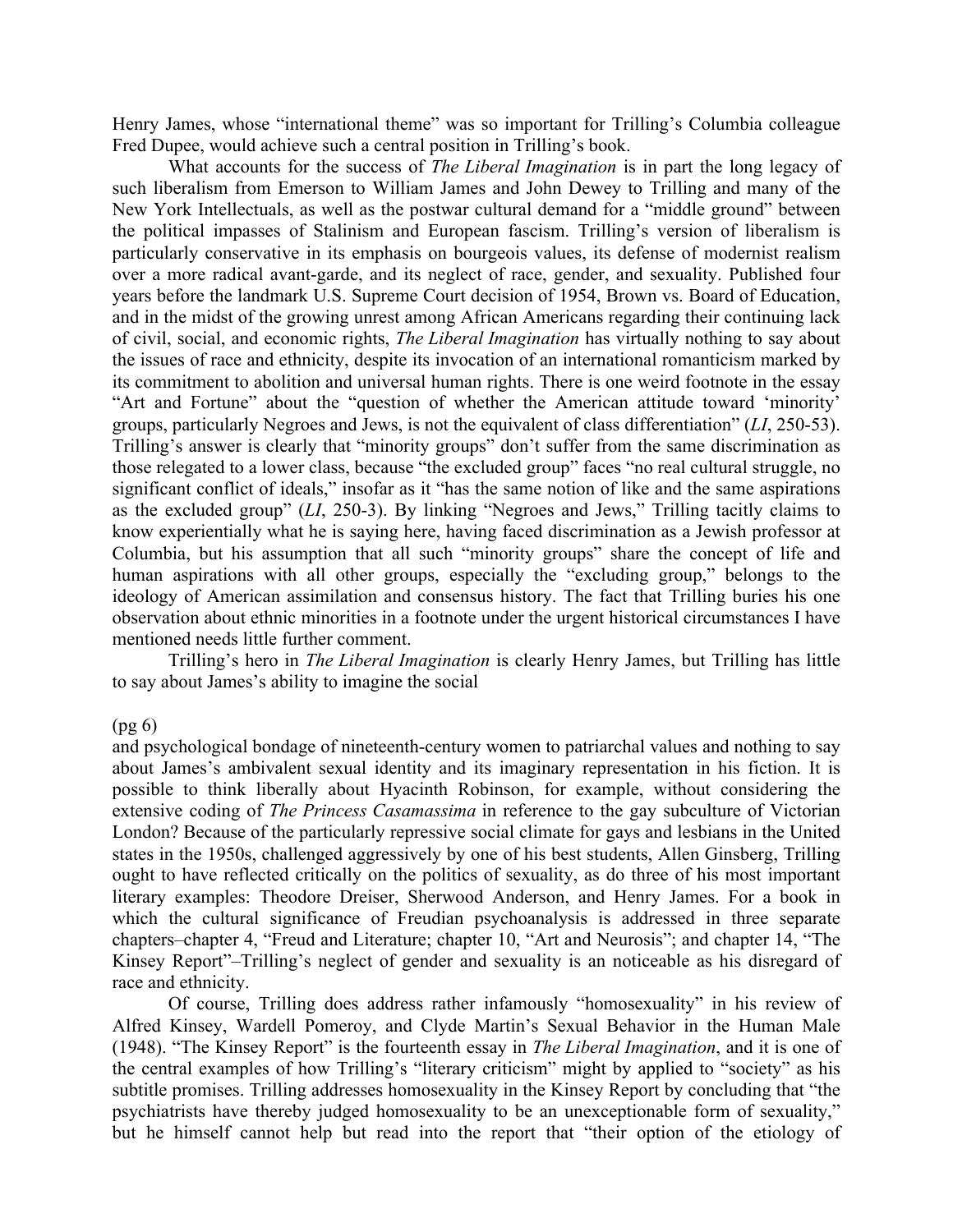Henry James, whose "international theme" was so important for Trilling's Columbia colleague Fred Dupee, would achieve such a central position in Trilling's book.

What accounts for the success of *The Liberal Imagination* is in part the long legacy of such liberalism from Emerson to William James and John Dewey to Trilling and many of the New York Intellectuals, as well as the postwar cultural demand for a "middle ground" between the political impasses of Stalinism and European fascism. Trilling's version of liberalism is particularly conservative in its emphasis on bourgeois values, its defense of modernist realism over a more radical avant-garde, and its neglect of race, gender, and sexuality. Published four years before the landmark U.S. Supreme Court decision of 1954, Brown vs. Board of Education, and in the midst of the growing unrest among African Americans regarding their continuing lack of civil, social, and economic rights, *The Liberal Imagination* has virtually nothing to say about the issues of race and ethnicity, despite its invocation of an international romanticism marked by its commitment to abolition and universal human rights. There is one weird footnote in the essay "Art and Fortune" about the "question of whether the American attitude toward 'minority' groups, particularly Negroes and Jews, is not the equivalent of class differentiation" (*LI*, 250-53). Trilling's answer is clearly that "minority groups" don't suffer from the same discrimination as those relegated to a lower class, because "the excluded group" faces "no real cultural struggle, no significant conflict of ideals," insofar as it "has the same notion of like and the same aspirations as the excluded group" (*LI*, 250-3). By linking "Negroes and Jews," Trilling tacitly claims to know experientially what he is saying here, having faced discrimination as a Jewish professor at Columbia, but his assumption that all such "minority groups" share the concept of life and human aspirations with all other groups, especially the "excluding group," belongs to the ideology of American assimilation and consensus history. The fact that Trilling buries his one observation about ethnic minorities in a footnote under the urgent historical circumstances I have mentioned needs little further comment.

Trilling's hero in *The Liberal Imagination* is clearly Henry James, but Trilling has little to say about James's ability to imagine the social

## (pg 6)

and psychological bondage of nineteenth-century women to patriarchal values and nothing to say about James's ambivalent sexual identity and its imaginary representation in his fiction. It is possible to think liberally about Hyacinth Robinson, for example, without considering the extensive coding of *The Princess Casamassima* in reference to the gay subculture of Victorian London? Because of the particularly repressive social climate for gays and lesbians in the United states in the 1950s, challenged aggressively by one of his best students, Allen Ginsberg, Trilling ought to have reflected critically on the politics of sexuality, as do three of his most important literary examples: Theodore Dreiser, Sherwood Anderson, and Henry James. For a book in which the cultural significance of Freudian psychoanalysis is addressed in three separate chapters–chapter 4, "Freud and Literature; chapter 10, "Art and Neurosis"; and chapter 14, "The Kinsey Report"–Trilling's neglect of gender and sexuality is an noticeable as his disregard of race and ethnicity.

Of course, Trilling does address rather infamously "homosexuality" in his review of Alfred Kinsey, Wardell Pomeroy, and Clyde Martin's Sexual Behavior in the Human Male (1948). "The Kinsey Report" is the fourteenth essay in *The Liberal Imagination*, and it is one of the central examples of how Trilling's "literary criticism" might by applied to "society" as his subtitle promises. Trilling addresses homosexuality in the Kinsey Report by concluding that "the psychiatrists have thereby judged homosexuality to be an unexceptionable form of sexuality," but he himself cannot help but read into the report that "their option of the etiology of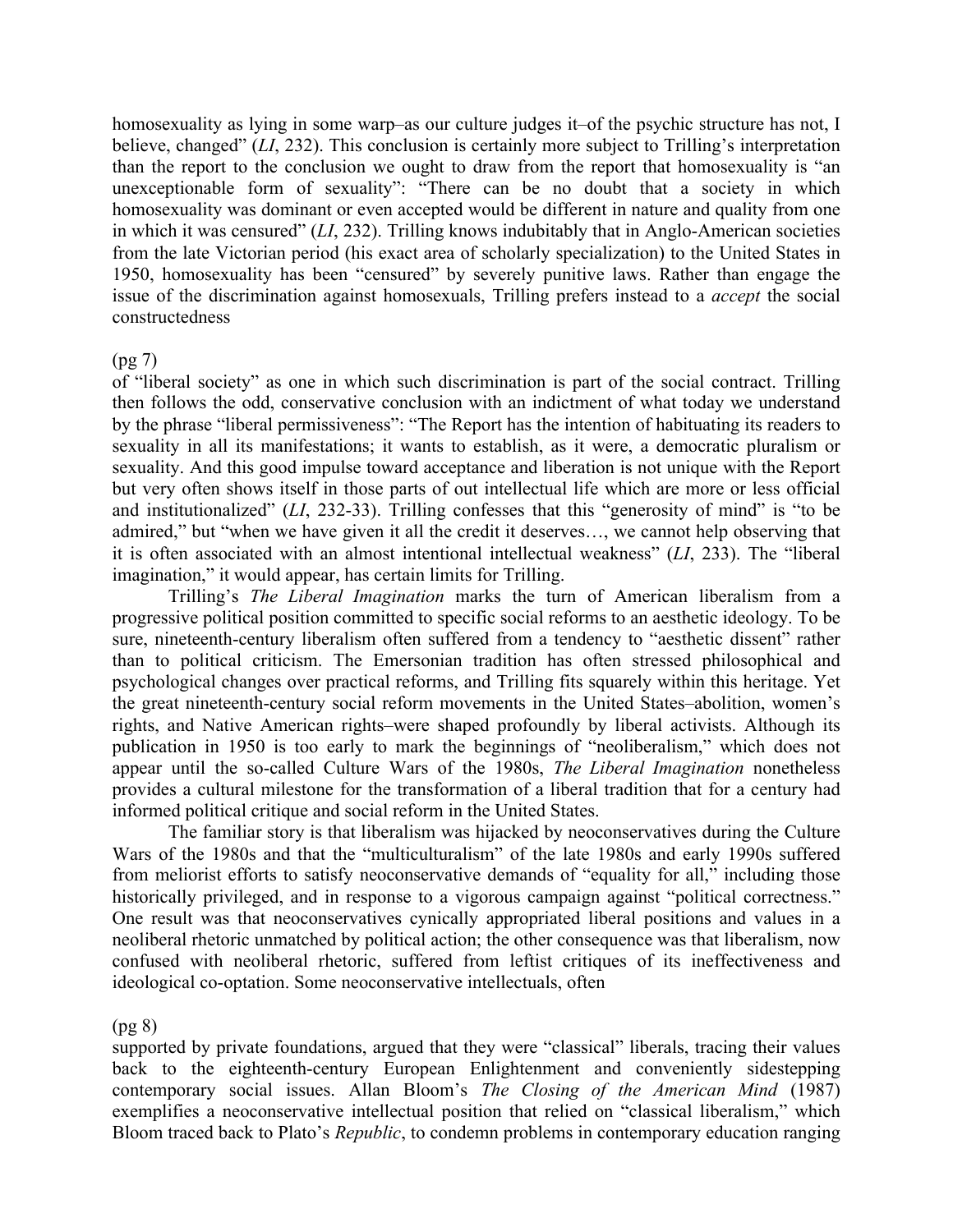homosexuality as lying in some warp–as our culture judges it–of the psychic structure has not, I believe, changed" (*LI*, 232). This conclusion is certainly more subject to Trilling's interpretation than the report to the conclusion we ought to draw from the report that homosexuality is "an unexceptionable form of sexuality": "There can be no doubt that a society in which homosexuality was dominant or even accepted would be different in nature and quality from one in which it was censured" (*LI*, 232). Trilling knows indubitably that in Anglo-American societies from the late Victorian period (his exact area of scholarly specialization) to the United States in 1950, homosexuality has been "censured" by severely punitive laws. Rather than engage the issue of the discrimination against homosexuals, Trilling prefers instead to a *accept* the social constructedness

# (pg 7)

of "liberal society" as one in which such discrimination is part of the social contract. Trilling then follows the odd, conservative conclusion with an indictment of what today we understand by the phrase "liberal permissiveness": "The Report has the intention of habituating its readers to sexuality in all its manifestations; it wants to establish, as it were, a democratic pluralism or sexuality. And this good impulse toward acceptance and liberation is not unique with the Report but very often shows itself in those parts of out intellectual life which are more or less official and institutionalized" (*LI*, 232-33). Trilling confesses that this "generosity of mind" is "to be admired," but "when we have given it all the credit it deserves…, we cannot help observing that it is often associated with an almost intentional intellectual weakness" (*LI*, 233). The "liberal imagination," it would appear, has certain limits for Trilling.

Trilling's *The Liberal Imagination* marks the turn of American liberalism from a progressive political position committed to specific social reforms to an aesthetic ideology. To be sure, nineteenth-century liberalism often suffered from a tendency to "aesthetic dissent" rather than to political criticism. The Emersonian tradition has often stressed philosophical and psychological changes over practical reforms, and Trilling fits squarely within this heritage. Yet the great nineteenth-century social reform movements in the United States–abolition, women's rights, and Native American rights–were shaped profoundly by liberal activists. Although its publication in 1950 is too early to mark the beginnings of "neoliberalism," which does not appear until the so-called Culture Wars of the 1980s, *The Liberal Imagination* nonetheless provides a cultural milestone for the transformation of a liberal tradition that for a century had informed political critique and social reform in the United States.

The familiar story is that liberalism was hijacked by neoconservatives during the Culture Wars of the 1980s and that the "multiculturalism" of the late 1980s and early 1990s suffered from meliorist efforts to satisfy neoconservative demands of "equality for all," including those historically privileged, and in response to a vigorous campaign against "political correctness." One result was that neoconservatives cynically appropriated liberal positions and values in a neoliberal rhetoric unmatched by political action; the other consequence was that liberalism, now confused with neoliberal rhetoric, suffered from leftist critiques of its ineffectiveness and ideological co-optation. Some neoconservative intellectuals, often

# (pg 8)

supported by private foundations, argued that they were "classical" liberals, tracing their values back to the eighteenth-century European Enlightenment and conveniently sidestepping contemporary social issues. Allan Bloom's *The Closing of the American Mind* (1987) exemplifies a neoconservative intellectual position that relied on "classical liberalism," which Bloom traced back to Plato's *Republic*, to condemn problems in contemporary education ranging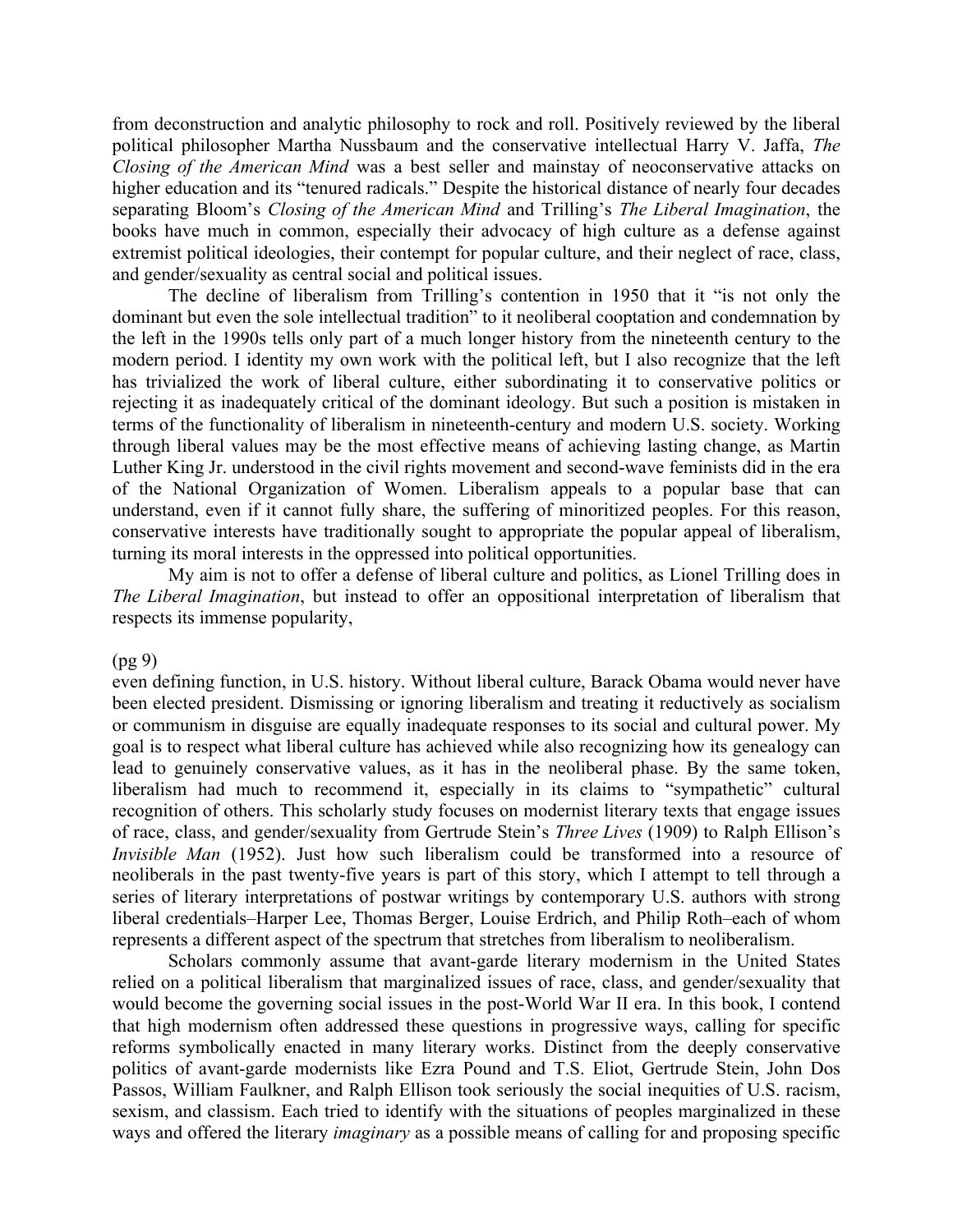from deconstruction and analytic philosophy to rock and roll. Positively reviewed by the liberal political philosopher Martha Nussbaum and the conservative intellectual Harry V. Jaffa, *The Closing of the American Mind* was a best seller and mainstay of neoconservative attacks on higher education and its "tenured radicals." Despite the historical distance of nearly four decades separating Bloom's *Closing of the American Mind* and Trilling's *The Liberal Imagination*, the books have much in common, especially their advocacy of high culture as a defense against extremist political ideologies, their contempt for popular culture, and their neglect of race, class, and gender/sexuality as central social and political issues.

The decline of liberalism from Trilling's contention in 1950 that it "is not only the dominant but even the sole intellectual tradition" to it neoliberal cooptation and condemnation by the left in the 1990s tells only part of a much longer history from the nineteenth century to the modern period. I identity my own work with the political left, but I also recognize that the left has trivialized the work of liberal culture, either subordinating it to conservative politics or rejecting it as inadequately critical of the dominant ideology. But such a position is mistaken in terms of the functionality of liberalism in nineteenth-century and modern U.S. society. Working through liberal values may be the most effective means of achieving lasting change, as Martin Luther King Jr. understood in the civil rights movement and second-wave feminists did in the era of the National Organization of Women. Liberalism appeals to a popular base that can understand, even if it cannot fully share, the suffering of minoritized peoples. For this reason, conservative interests have traditionally sought to appropriate the popular appeal of liberalism, turning its moral interests in the oppressed into political opportunities.

My aim is not to offer a defense of liberal culture and politics, as Lionel Trilling does in *The Liberal Imagination*, but instead to offer an oppositional interpretation of liberalism that respects its immense popularity,

#### (pg 9)

even defining function, in U.S. history. Without liberal culture, Barack Obama would never have been elected president. Dismissing or ignoring liberalism and treating it reductively as socialism or communism in disguise are equally inadequate responses to its social and cultural power. My goal is to respect what liberal culture has achieved while also recognizing how its genealogy can lead to genuinely conservative values, as it has in the neoliberal phase. By the same token, liberalism had much to recommend it, especially in its claims to "sympathetic" cultural recognition of others. This scholarly study focuses on modernist literary texts that engage issues of race, class, and gender/sexuality from Gertrude Stein's *Three Lives* (1909) to Ralph Ellison's *Invisible Man* (1952). Just how such liberalism could be transformed into a resource of neoliberals in the past twenty-five years is part of this story, which I attempt to tell through a series of literary interpretations of postwar writings by contemporary U.S. authors with strong liberal credentials–Harper Lee, Thomas Berger, Louise Erdrich, and Philip Roth–each of whom represents a different aspect of the spectrum that stretches from liberalism to neoliberalism.

Scholars commonly assume that avant-garde literary modernism in the United States relied on a political liberalism that marginalized issues of race, class, and gender/sexuality that would become the governing social issues in the post-World War II era. In this book, I contend that high modernism often addressed these questions in progressive ways, calling for specific reforms symbolically enacted in many literary works. Distinct from the deeply conservative politics of avant-garde modernists like Ezra Pound and T.S. Eliot, Gertrude Stein, John Dos Passos, William Faulkner, and Ralph Ellison took seriously the social inequities of U.S. racism, sexism, and classism. Each tried to identify with the situations of peoples marginalized in these ways and offered the literary *imaginary* as a possible means of calling for and proposing specific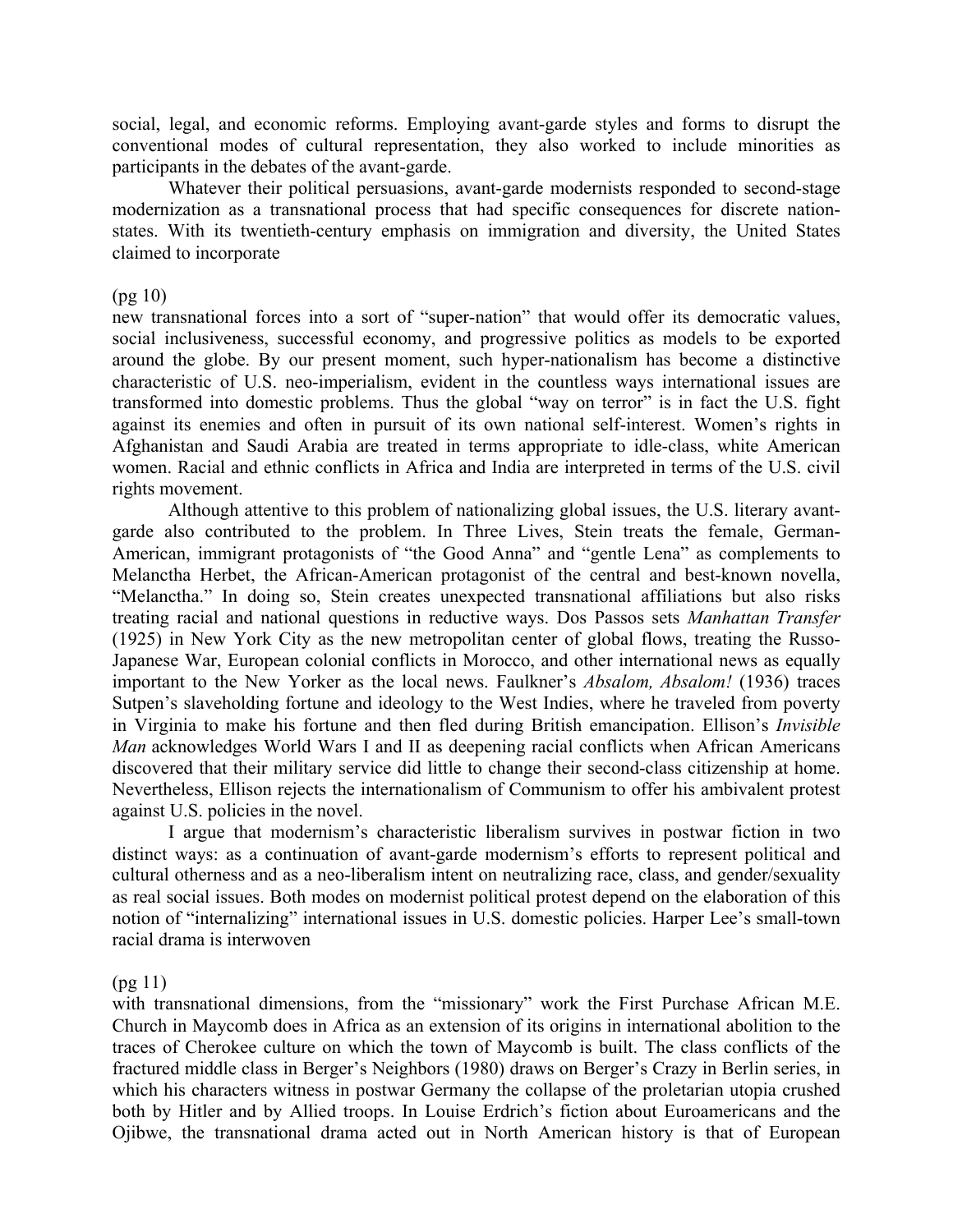social, legal, and economic reforms. Employing avant-garde styles and forms to disrupt the conventional modes of cultural representation, they also worked to include minorities as participants in the debates of the avant-garde.

Whatever their political persuasions, avant-garde modernists responded to second-stage modernization as a transnational process that had specific consequences for discrete nationstates. With its twentieth-century emphasis on immigration and diversity, the United States claimed to incorporate

## (pg 10)

new transnational forces into a sort of "super-nation" that would offer its democratic values, social inclusiveness, successful economy, and progressive politics as models to be exported around the globe. By our present moment, such hyper-nationalism has become a distinctive characteristic of U.S. neo-imperialism, evident in the countless ways international issues are transformed into domestic problems. Thus the global "way on terror" is in fact the U.S. fight against its enemies and often in pursuit of its own national self-interest. Women's rights in Afghanistan and Saudi Arabia are treated in terms appropriate to idle-class, white American women. Racial and ethnic conflicts in Africa and India are interpreted in terms of the U.S. civil rights movement.

Although attentive to this problem of nationalizing global issues, the U.S. literary avantgarde also contributed to the problem. In Three Lives, Stein treats the female, German-American, immigrant protagonists of "the Good Anna" and "gentle Lena" as complements to Melanctha Herbet, the African-American protagonist of the central and best-known novella, "Melanctha." In doing so, Stein creates unexpected transnational affiliations but also risks treating racial and national questions in reductive ways. Dos Passos sets *Manhattan Transfer* (1925) in New York City as the new metropolitan center of global flows, treating the Russo-Japanese War, European colonial conflicts in Morocco, and other international news as equally important to the New Yorker as the local news. Faulkner's *Absalom, Absalom!* (1936) traces Sutpen's slaveholding fortune and ideology to the West Indies, where he traveled from poverty in Virginia to make his fortune and then fled during British emancipation. Ellison's *Invisible Man* acknowledges World Wars I and II as deepening racial conflicts when African Americans discovered that their military service did little to change their second-class citizenship at home. Nevertheless, Ellison rejects the internationalism of Communism to offer his ambivalent protest against U.S. policies in the novel.

I argue that modernism's characteristic liberalism survives in postwar fiction in two distinct ways: as a continuation of avant-garde modernism's efforts to represent political and cultural otherness and as a neo-liberalism intent on neutralizing race, class, and gender/sexuality as real social issues. Both modes on modernist political protest depend on the elaboration of this notion of "internalizing" international issues in U.S. domestic policies. Harper Lee's small-town racial drama is interwoven

# (pg 11)

with transnational dimensions, from the "missionary" work the First Purchase African M.E. Church in Maycomb does in Africa as an extension of its origins in international abolition to the traces of Cherokee culture on which the town of Maycomb is built. The class conflicts of the fractured middle class in Berger's Neighbors (1980) draws on Berger's Crazy in Berlin series, in which his characters witness in postwar Germany the collapse of the proletarian utopia crushed both by Hitler and by Allied troops. In Louise Erdrich's fiction about Euroamericans and the Ojibwe, the transnational drama acted out in North American history is that of European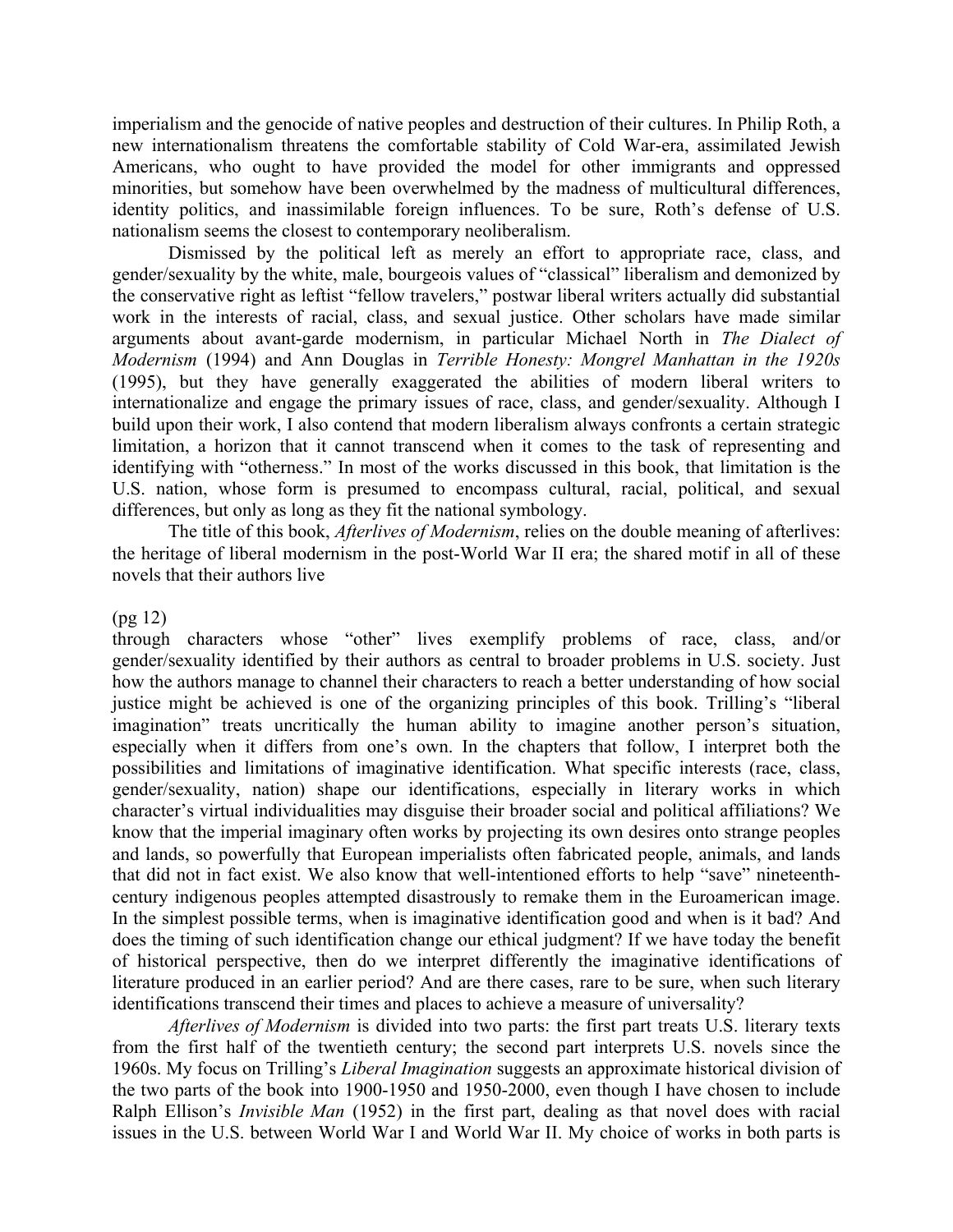imperialism and the genocide of native peoples and destruction of their cultures. In Philip Roth, a new internationalism threatens the comfortable stability of Cold War-era, assimilated Jewish Americans, who ought to have provided the model for other immigrants and oppressed minorities, but somehow have been overwhelmed by the madness of multicultural differences, identity politics, and inassimilable foreign influences. To be sure, Roth's defense of U.S. nationalism seems the closest to contemporary neoliberalism.

Dismissed by the political left as merely an effort to appropriate race, class, and gender/sexuality by the white, male, bourgeois values of "classical" liberalism and demonized by the conservative right as leftist "fellow travelers," postwar liberal writers actually did substantial work in the interests of racial, class, and sexual justice. Other scholars have made similar arguments about avant-garde modernism, in particular Michael North in *The Dialect of Modernism* (1994) and Ann Douglas in *Terrible Honesty: Mongrel Manhattan in the 1920s* (1995), but they have generally exaggerated the abilities of modern liberal writers to internationalize and engage the primary issues of race, class, and gender/sexuality. Although I build upon their work, I also contend that modern liberalism always confronts a certain strategic limitation, a horizon that it cannot transcend when it comes to the task of representing and identifying with "otherness." In most of the works discussed in this book, that limitation is the U.S. nation, whose form is presumed to encompass cultural, racial, political, and sexual differences, but only as long as they fit the national symbology.

The title of this book, *Afterlives of Modernism*, relies on the double meaning of afterlives: the heritage of liberal modernism in the post-World War II era; the shared motif in all of these novels that their authors live

## (pg 12)

through characters whose "other" lives exemplify problems of race, class, and/or gender/sexuality identified by their authors as central to broader problems in U.S. society. Just how the authors manage to channel their characters to reach a better understanding of how social justice might be achieved is one of the organizing principles of this book. Trilling's "liberal imagination" treats uncritically the human ability to imagine another person's situation, especially when it differs from one's own. In the chapters that follow, I interpret both the possibilities and limitations of imaginative identification. What specific interests (race, class, gender/sexuality, nation) shape our identifications, especially in literary works in which character's virtual individualities may disguise their broader social and political affiliations? We know that the imperial imaginary often works by projecting its own desires onto strange peoples and lands, so powerfully that European imperialists often fabricated people, animals, and lands that did not in fact exist. We also know that well-intentioned efforts to help "save" nineteenthcentury indigenous peoples attempted disastrously to remake them in the Euroamerican image. In the simplest possible terms, when is imaginative identification good and when is it bad? And does the timing of such identification change our ethical judgment? If we have today the benefit of historical perspective, then do we interpret differently the imaginative identifications of literature produced in an earlier period? And are there cases, rare to be sure, when such literary identifications transcend their times and places to achieve a measure of universality?

*Afterlives of Modernism* is divided into two parts: the first part treats U.S. literary texts from the first half of the twentieth century; the second part interprets U.S. novels since the 1960s. My focus on Trilling's *Liberal Imagination* suggests an approximate historical division of the two parts of the book into 1900-1950 and 1950-2000, even though I have chosen to include Ralph Ellison's *Invisible Man* (1952) in the first part, dealing as that novel does with racial issues in the U.S. between World War I and World War II. My choice of works in both parts is